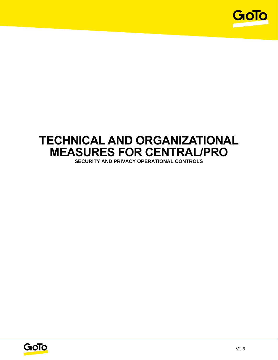

# **TECHNICAL AND ORGANIZATIONAL MEASURES FOR CENTRAL/PRO**

**SECURITY AND PRIVACY OPERATIONAL CONTROLS**

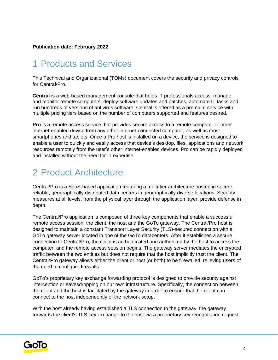#### **Publication date: February 2022**

### 1 Products and Services

This Technical and Organizational (TOMs) document covers the security and privacy controls for Central/Pro.

**Central** is a web-based management console that helps IT professionals access, manage and monitor remote computers, deploy software updates and patches, automate IT tasks and run hundreds of versions of antivirus software. Central is offered as a premium service with multiple pricing tiers based on the number of computers supported and features desired.

**Pro** is a remote access service that provides secure access to a remote computer or other internet-enabled device from any other internet-connected computer, as well as most smartphones and tablets. Once a Pro host is installed on a device, the service is designed to enable a user to quickly and easily access that device's desktop, files, applications and network resources remotely from the user's other internet-enabled devices. Pro can be rapidly deployed and installed without the need for IT expertise.

### 2 Product Architecture

Central/Pro is a SaaS-based application featuring a multi-tier architecture hosted in secure, reliable, geographically distributed data centers in geographically diverse locations. Security measures at all levels, from the physical layer through the application layer, provide defense in depth.

The Central/Pro application is composed of three key components that enable a successful remote access session: the client, the host and the GoTo gateway. The Central/Pro host is designed to maintain a constant Transport Layer Security (TLS)-secured connection with a GoTo gateway server located in one of the GoTo datacenters. After it establishes a secure connection to Central/Pro, the client is authenticated and authorized by the host to access the computer, and the remote access session begins. The gateway server mediates the encrypted traffic between the two entities but does not require that the host implicitly trust the client. The Central/Pro gateway allows either the client or host (or both) to be firewalled, relieving users of the need to configure firewalls.

GoTo's proprietary key exchange forwarding protocol is designed to provide security against interception or eavesdropping on our own infrastructure. Specifically, the connection between the client and the host is facilitated by the gateway in order to ensure that the client can connect to the host independently of the network setup.

With the host already having established a TLS connection to the gateway, the gateway forwards the client's TLS key exchange to the host via a proprietary key renegotiation request.

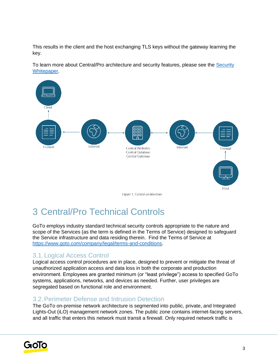This results in the client and the host exchanging TLS keys without the gateway learning the key.

To learn more about Central/Pro architecture and security features, please see the Security [Whitepaper.](https://documentation.logmein.com/documentation/EN/pdf/common/LogMeIn_SecurityWhitepaper.pdf)



## 3 Central/Pro Technical Controls

GoTo employs industry standard technical security controls appropriate to the nature and scope of the Services (as the term is defined in the Terms of Service) designed to safeguard the Service infrastructure and data residing therein. Find the Terms of Service a[t](http://www.logmein.com/legal/terms-and-conditions) <https://www.goto.com/company/legal/terms-and-conditions>[.](http://www.logmein.com/legal/terms-and-conditions)

### 3.1.Logical Access Control

Logical access control procedures are in place, designed to prevent or mitigate the threat of unauthorized application access and data loss in both the corporate and production environment. Employees are granted minimum (or "least privilege") access to specified GoTo systems, applications, networks, and devices as needed. Further, user privileges are segregated based on functional role and environment.

### 3.2.Perimeter Defense and Intrusion Detection

The GoTo on-premise network architecture is segmented into public, private, and Integrated Lights-Out (iLO) management network zones. The public zone contains internet-facing servers, and all traffic that enters this network must transit a firewall. Only required network traffic is

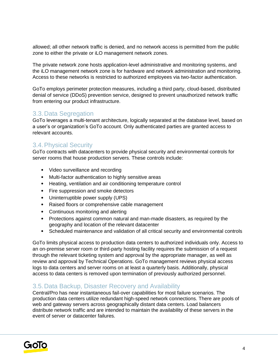allowed; all other network traffic is denied, and no network access is permitted from the public zone to either the private or iLO management network zones.

The private network zone hosts application-level administrative and monitoring systems, and the iLO management network zone is for hardware and network administration and monitoring. Access to these networks is restricted to authorized employees via two-factor authentication.

GoTo employs perimeter protection measures, including a third party, cloud-based, distributed denial of service (DDoS) prevention service, designed to prevent unauthorized network traffic from entering our product infrastructure.

#### 3.3.Data Segregation

GoTo leverages a multi-tenant architecture, logically separated at the database level, based on a user's or organization's GoTo account. Only authenticated parties are granted access to relevant accounts.

#### 3.4.Physical Security

GoTo contracts with datacenters to provide physical security and environmental controls for server rooms that house production servers. These controls include:

- Video surveillance and recording
- Multi-factor authentication to highly sensitive areas
- Heating, ventilation and air conditioning temperature control
- Fire suppression and smoke detectors
- Uninterruptible power supply (UPS)
- Raised floors or comprehensive cable management
- Continuous monitoring and alerting
- Protections against common natural and man-made disasters, as required by the geography and location of the relevant datacenter
- Scheduled maintenance and validation of all critical security and environmental controls

GoTo limits physical access to production data centers to authorized individuals only. Access to an on-premise server room or third-party hosting facility requires the submission of a request through the relevant ticketing system and approval by the appropriate manager, as well as review and approval by Technical Operations. GoTo management reviews physical access logs to data centers and server rooms on at least a quarterly basis. Additionally, physical access to data centers is removed upon termination of previously authorized personnel.

#### 3.5.Data Backup, Disaster Recovery and Availability

Central/Pro has near instantaneous fail-over capabilities for most failure scenarios. The production data centers utilize redundant high-speed network connections. There are pools of web and gateway servers across geographically distant data centers. Load balancers distribute network traffic and are intended to maintain the availability of these servers in the event of server or datacenter failures.

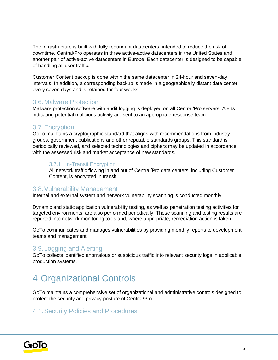The infrastructure is built with fully redundant datacenters, intended to reduce the risk of downtime. Central/Pro operates in three active-active datacenters in the United States and another pair of active-active datacenters in Europe. Each datacenter is designed to be capable of handling all user traffic.

Customer Content backup is done within the same datacenter in 24-hour and seven-day intervals. In addition, a corresponding backup is made in a geographically distant data center every seven days and is retained for four weeks.

#### 3.6.Malware Protection

Malware protection software with audit logging is deployed on all Central/Pro servers. Alerts indicating potential malicious activity are sent to an appropriate response team.

#### 3.7.Encryption

GoTo maintains a cryptographic standard that aligns with recommendations from industry groups, government publications and other reputable standards groups. This standard is periodically reviewed, and selected technologies and ciphers may be updated in accordance with the assessed risk and market acceptance of new standards.

#### 3.7.1. In-Transit Encryption

All network traffic flowing in and out of Central/Pro data centers, including Customer Content, is encrypted in transit.

#### 3.8.Vulnerability Management

Internal and external system and network vulnerability scanning is conducted monthly.

Dynamic and static application vulnerability testing, as well as penetration testing activities for targeted environments, are also performed periodically. These scanning and testing results are reported into network monitoring tools and, where appropriate, remediation action is taken.

GoTo communicates and manages vulnerabilities by providing monthly reports to development teams and management.

#### 3.9.Logging and Alerting

GoTo collects identified anomalous or suspicious traffic into relevant security logs in applicable production systems.

## 4 Organizational Controls

GoTo maintains a comprehensive set of organizational and administrative controls designed to protect the security and privacy posture of Central/Pro.

### 4.1.Security Policies and Procedures

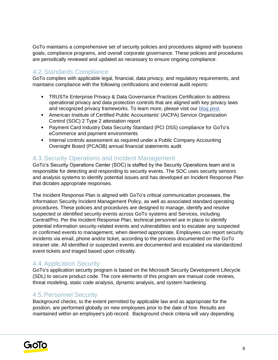GoTo maintains a comprehensive set of security policies and procedures aligned with business goals, compliance programs, and overall corporate governance. These policies and procedures are periodically reviewed and updated as necessary to ensure ongoing compliance.

### 4.2.Standards Compliance

GoTo complies with applicable legal, financial, data privacy, and regulatory requirements, and maintains compliance with the following certifications and external audit reports:

- TRUSTe Enterprise Privacy & Data Governance Practices Certification to address operational privacy and data protection controls that are aligned with key privacy laws and recognized privacy frameworks. To learn more, please visit ou[r](https://blog.logmeininc.com/logmein-furthers-commitment-to-data-privacy-with-truste-enterprise-privacy-certification-seal/?lang=en) [blog post](https://www.goto.com/blog/logmein-furthers-commitment-to-data-privacy-with-truste-enterprise-privacy-certification-seal)[.](https://blog.logmeininc.com/logmein-furthers-commitment-to-data-privacy-with-truste-enterprise-privacy-certification-seal/?lang=en)
- American Institute of Certified Public Accountants' (AICPA) Service Organization Control (SOC) 2 Type 2 attestation report
- Payment Card Industry Data Security Standard (PCI DSS) compliance for GoTo's eCommerce and payment environments
- Internal controls assessment as required under a Public Company Accounting Oversight Board (PCAOB) annual financial statements audit

#### 4.3.Security Operations and Incident Management

GoTo's Security Operations Center (SOC) is staffed by the Security Operations team and is responsible for detecting and responding to security events. The SOC uses security sensors and analysis systems to identify potential issues and has developed an Incident Response Plan that dictates appropriate responses.

The Incident Response Plan is aligned with GoTo's critical communication processes, the Information Security Incident Management Policy, as well as associated standard operating procedures. These policies and procedures are designed to manage, identify and resolve suspected or identified security events across GoTo systems and Services, including Central/Pro. Per the Incident Response Plan, technical personnel are in place to identify potential information security-related events and vulnerabilities and to escalate any suspected or confirmed events to management, when deemed appropriate. Employees can report security incidents via email, phone and/or ticket, according to the process documented on the GoTo intranet site. All identified or suspected events are documented and escalated via standardized event tickets and triaged based upon criticality.

#### 4.4.Application Security

GoTo's application security program is based on the Microsoft Security Development Lifecycle (SDL) to secure product code. The core elements of this program are manual code reviews, threat modeling, static code analysis, dynamic analysis, and system hardening.

#### 4.5.Personnel Security

Background checks, to the extent permitted by applicable law and as appropriate for the position, are performed globally on new employees prior to the date of hire. Results are maintained within an employee's job record. Background check criteria will vary depending

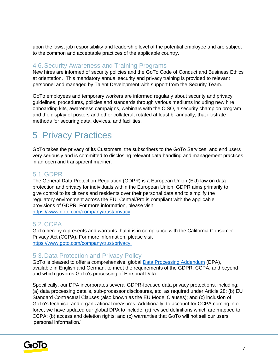upon the laws, job responsibility and leadership level of the potential employee and are subject to the common and acceptable practices of the applicable country.

#### 4.6.Security Awareness and Training Programs

New hires are informed of security policies and the GoTo Code of Conduct and Business Ethics at orientation. This mandatory annual security and privacy training is provided to relevant personnel and managed by Talent Development with support from the Security Team.

GoTo employees and temporary workers are informed regularly about security and privacy guidelines, procedures, policies and standards through various mediums including new hire onboarding kits, awareness campaigns, webinars with the CISO, a security champion program and the display of posters and other collateral, rotated at least bi-annually, that illustrate methods for securing data, devices, and facilities.

## 5 Privacy Practices

GoTo takes the privacy of its Customers, the subscribers to the GoTo Services, and end users very seriously and is committed to disclosing relevant data handling and management practices in an open and transparent manner.

#### 5.1.GDPR

The General Data Protection Regulation (GDPR) is a European Union (EU) law on data protection and privacy for individuals within the European Union. GDPR aims primarily to give control to its citizens and residents over their personal data and to simplify the regulatory environment across the EU. Central/Pro is compliant with the applicable provisions of GDPR. For more information, please visit [https://www.goto.com/company/trust/privacy.](https://www.goto.com/company/trust/privacy)

#### 5.2.CCPA

GoTo hereby represents and warrants that it is in compliance with the California Consumer Privacy Act (CCPA). For more information, please visit [https://www.goto.com/company/trust/privacy.](http://www.goto.com/company/trust/privacy)

#### 5.3.Data Protection and Privacy Policy

GoTo is pleased to offer a comprehensive, global [Data Processing Addendum](https://www.goto.com/company/legal) (DPA), available in [English](https://www.docusign.net/Member/PowerFormSigning.aspx?PowerFormId=87db4c61-3929-4ccb-ab58-b202e064c4a1) [a](https://www.docusign.net/Member/PowerFormSigning.aspx?PowerFormId=87db4c61-3929-4ccb-ab58-b202e064c4a1)nd [German,](https://www.docusign.net/Member/PowerFormSigning.aspx?PowerFormId=29541afa-3cf0-4d7c-90f8-e971a0866b8e&env=na1) to meet the requirements of the GDPR, CCPA, and beyond and which governs GoTo's processing of Personal Data.

Specifically, our DPA incorporates several GDPR-focused data privacy protections, including: (a) data processing details, sub-processor disclosures, etc. as required under Article 28; (b) EU Standard Contractual Clauses (also known as the EU Model Clauses); and (c) inclusion of GoTo's technical and organizational measures. Additionally, to account for CCPA coming into force, we have updated our global DPA to include: (a) revised definitions which are mapped to CCPA; (b) access and deletion rights; and (c) warranties that GoTo will not sell our users' 'personal information.'

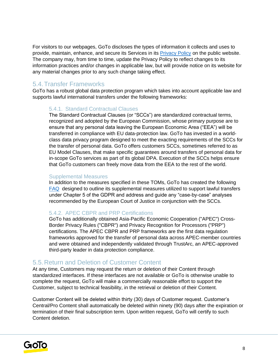For visitors to our webpages, GoTo discloses the types of information it collects and uses to provide, maintain, enhance, and secure its Services in its [Privacy Policy](https://www.goto.com/company/legal/privacy) on the public website. The company may, from time to time, update the Privacy Policy to reflect changes to its information practices and/or changes in applicable law, but will provide notice on its website for any material changes prior to any such change taking effect.

#### 5.4.Transfer Frameworks

GoTo has a robust global data protection program which takes into account applicable law and supports lawful international transfers under the following frameworks:

#### 5.4.1. Standard Contractual Clauses

The Standard Contractual Clauses (or "SCCs") are standardized contractual terms, recognized and adopted by the European Commission, whose primary purpose are to ensure that any personal data leaving the European Economic Area ("EEA") will be transferred in compliance with EU data-protection law. GoTo has invested in a worldclass data privacy program designed to meet the exacting requirements of the SCCs for the transfer of personal data. GoTo offers customers SCCs, sometimes referred to as EU Model Clauses, that make specific guarantees around transfers of personal data for in-scope GoTo services as part of its global DPA. Execution of the SCCs helps ensure that GoTo customers can freely move data from the EEA to the rest of the world.

#### Supplemental Measures

In addition to the measures specified in these TOMs, GoTo has created the following [FAQ](https://logmeincdn.azureedge.net/legal/international-data-transfers-faq.pdf) [d](https://logmeincdn.azureedge.net/legal/Schrems-II-FAQ.pdf)esigned to outline its supplemental measures utilized to support lawful transfers under Chapter 5 of the GDPR and address and guide any "case-by-case" analyses recommended by the European Court of Justice in conjunction with the SCCs.

#### 5.4.2. APEC CBPR and PRP Certifications

GoTo has additionally obtained Asia-Pacific Economic Cooperation ("APEC") Cross-Border Privacy Rules ("CBPR") and Privacy Recognition for Processors ("PRP") certifications. The APEC CBPR and PRP frameworks are the first data regulation frameworks approved for the transfer of personal data across APEC-member countries and were obtained and independently validated through TrustArc, an APEC-approved third-party leader in data protection compliance.

#### 5.5.Return and Deletion of Customer Content

At any time, Customers may request the return or deletion of their Content through standardized interfaces. If these interfaces are not available or GoTo is otherwise unable to complete the request, GoTo will make a commercially reasonable effort to support the Customer, subject to technical feasibility, in the retrieval or deletion of their Content.

Customer Content will be deleted within thirty (30) days of Customer request. Customer's Central/Pro Content shall automatically be deleted within ninety (90) days after the expiration or termination of their final subscription term. Upon written request, GoTo will certify to such Content deletion.

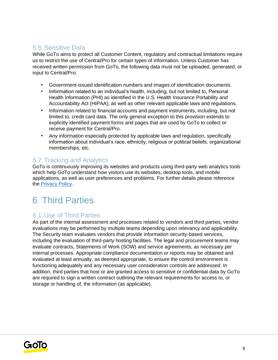#### 5.6.Sensitive Data

While GoTo aims to protect all Customer Content, regulatory and contractual limitations require us to restrict the use of Central/Pro for certain types of information. Unless Customer has received written permission from GoTo, the following data must not be uploaded, generated, or input to Central/Pro:

- Government-issued identification numbers and images of identification documents.
- Information related to an individual's health, including, but not limited to, Personal Health Information (PHI) as identified in the U.S. Health Insurance Portability and Accountability Act (HIPAA), as well as other relevant applicable laws and regulations.
- Information related to financial accounts and payment instruments, including, but not limited to, credit card data. The only general exception to this provision extends to explicitly identified payment forms and pages that are used by GoTo to collect or receive payment for Central/Pro.
- Any information especially protected by applicable laws and regulation, specifically information about individual's race, ethnicity, religious or political beliefs, organizational memberships, etc.

#### 5.7.Tracking and Analytics

GoTo is continuously improving its websites and products using third-party web analytics tools which help GoTo understand how visitors use its websites, desktop tools, and mobile applications, as well as user preferences and problems. For further details please reference the [Privacy Policy](https://www.goto.com/company/legal/privacy)[.](https://www.logmein.com/legal/privacy)

## 6 Third Parties

### 6.1.Use of Third Parties

As part of the internal assessment and processes related to vendors and third parties, vendor evaluations may be performed by multiple teams depending upon relevancy and applicability. The Security team evaluates vendors that provide information security-based services, including the evaluation of third-party hosting facilities. The legal and procurement teams may evaluate contracts, Statements of Work (SOW) and service agreements, as necessary per internal processes. Appropriate compliance documentation or reports may be obtained and evaluated at least annually, as deemed appropriate, to ensure the control environment is functioning adequately and any necessary user consideration controls are addressed. In addition, third parties that host or are granted access to sensitive or confidential data by GoTo are required to sign a written contract outlining the relevant requirements for access to, or storage or handling of, the information (as applicable).